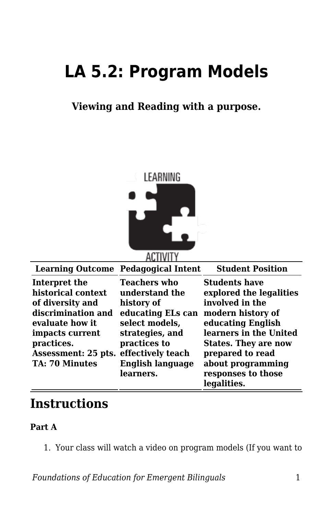# **LA 5.2: Program Models**

**Viewing and Reading with a purpose.**



| <b>Learning Outcome Pedagogical Intent</b><br><b>Student Position</b><br><b>Students have</b><br>Teachers who<br>Interpret the<br>historical context<br>explored the legalities<br>understand the<br>involved in the<br>of diversity and<br>history of<br>discrimination and<br>educating ELs can<br>modern history of |                                          |                |                   |
|------------------------------------------------------------------------------------------------------------------------------------------------------------------------------------------------------------------------------------------------------------------------------------------------------------------------|------------------------------------------|----------------|-------------------|
|                                                                                                                                                                                                                                                                                                                        |                                          |                |                   |
| learners in the United<br>strategies, and<br>impacts current<br>practices.<br>practices to<br><b>States. They are now</b><br>effectively teach<br>prepared to read<br>Assessment: 25 pts.<br><b>English language</b><br>about programming<br>responses to those<br>learners.<br>legalities.                            | evaluate how it<br><b>TA: 70 Minutes</b> | select models, | educating English |

# **Instructions**

## **Part A**

1. Your class will watch a video on program models (If you want to

*Foundations of Education for Emergent Bilinguals* 1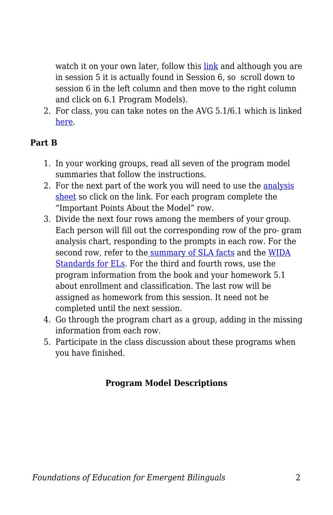watch it on your own later, follow this [link](https://byu.box.com/s/m2o2945drpnjx8n022w5gyd5jsvflgj6) and although you are in session 5 it is actually found in Session 6, so scroll down to session 6 in the left column and then move to the right column and click on 6.1 Program Models).

2. For class, you can take notes on the AVG 5.1/6.1 which is linked [here.](https://byu.box.com/s/m2o2945drpnjx8n022w5gyd5jsvflgj6)

## **Part B**

- 1. In your working groups, read all seven of the program model summaries that follow the instructions.
- 2. For the next part of the work you will need to use the [analysis](https://byu.box.com/s/yh6y84nmfwzhzszrq8bcxsl1x3vmq1zo) [sheet](https://byu.box.com/s/yh6y84nmfwzhzszrq8bcxsl1x3vmq1zo) so click on the link. For each program complete the "Important Points About the Model" row.
- 3. Divide the next four rows among the members of your group. Each person will fill out the corresponding row of the pro- gram analysis chart, responding to the prompts in each row. For the second row, refer to the [summary of SLA facts](https://byu.box.com/s/tmbkssuh1p0blisbm0skrxec3euwd5nw) and the [WIDA](https://byu.box.com/s/29qh3kms1q4o00e66cnf29gp4ml7fy70) [Standards for ELs.](https://byu.box.com/s/29qh3kms1q4o00e66cnf29gp4ml7fy70) For the third and fourth rows, use the program information from the book and your homework 5.1 about enrollment and classification. The last row will be assigned as homework from this session. It need not be completed until the next session.
- 4. Go through the program chart as a group, adding in the missing information from each row.
- 5. Participate in the class discussion about these programs when you have finished.

# **Program Model Descriptions**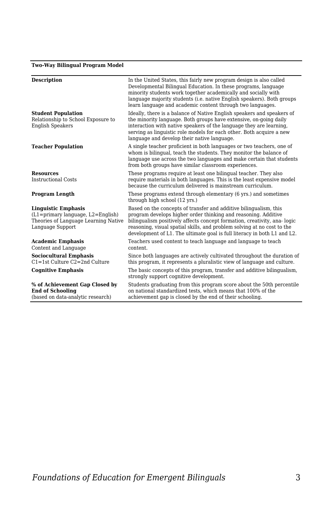#### **Two-Way Bilingual Program Model**

| <b>Description</b>                                                                                                                | In the United States, this fairly new program design is also called<br>Developmental Bilingual Education. In these programs, language<br>minority students work together academically and socially with<br>language majority students (i.e. native English speakers). Both groups<br>learn language and academic content through two languages.                        |
|-----------------------------------------------------------------------------------------------------------------------------------|------------------------------------------------------------------------------------------------------------------------------------------------------------------------------------------------------------------------------------------------------------------------------------------------------------------------------------------------------------------------|
| <b>Student Population</b><br>Relationship to School Exposure to<br><b>English Speakers</b>                                        | Ideally, there is a balance of Native English speakers and speakers of<br>the minority language. Both groups have extensive, on-going daily<br>interaction with native speakers of the language they are learning,<br>serving as linguistic role models for each other. Both acquire a new<br>language and develop their native language.                              |
| <b>Teacher Population</b>                                                                                                         | A single teacher proficient in both languages or two teachers, one of<br>whom is bilingual, teach the students. They monitor the balance of<br>language use across the two languages and make certain that students<br>from both groups have similar classroom experiences.                                                                                            |
| <b>Resources</b><br><b>Instructional Costs</b>                                                                                    | These programs require at least one bilingual teacher. They also<br>require materials in both languages. This is the least expensive model<br>because the curriculum delivered is mainstream curriculum.                                                                                                                                                               |
| <b>Program Length</b>                                                                                                             | These programs extend through elementary (6 yrs.) and sometimes<br>through high school (12 yrs.)                                                                                                                                                                                                                                                                       |
| <b>Linguistic Emphasis</b><br>$(L1 = primary language, L2 = English)$<br>Theories of Language Learning Native<br>Language Support | Based on the concepts of transfer and additive bilingualism, this<br>program develops higher order thinking and reasoning. Additive<br>bilingualism positively affects concept formation, creativity, ana-logic<br>reasoning, visual spatial skills, and problem solving at no cost to the<br>development of L1. The ultimate goal is full literacy in both L1 and L2. |
| <b>Academic Emphasis</b><br>Content and Language                                                                                  | Teachers used content to teach language and language to teach<br>content.                                                                                                                                                                                                                                                                                              |
| <b>Sociocultural Emphasis</b><br>$C1 = 1$ st Culture $C2 = 2$ nd Culture                                                          | Since both languages are actively cultivated throughout the duration of<br>this program, it represents a pluralistic view of language and culture.                                                                                                                                                                                                                     |
| <b>Cognitive Emphasis</b>                                                                                                         | The basic concepts of this program, transfer and additive bilingualism,<br>strongly support cognitive development.                                                                                                                                                                                                                                                     |
| % of Achievement Gap Closed by<br><b>End of Schooling</b><br>(based on data-analytic research)                                    | Students graduating from this program score about the 50th percentile<br>on national standardized tests, which means that 100% of the<br>achievement gap is closed by the end of their schooling.                                                                                                                                                                      |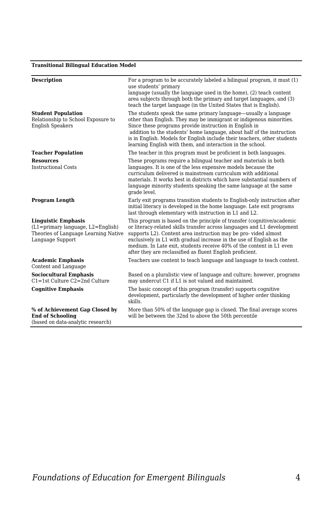#### **Transitional Bilingual Education Model**

| <b>Description</b>                                                                                                              | For a program to be accurately labeled a bilingual program, it must (1)<br>use students' primary<br>language (usually the language used in the home), (2) teach content<br>area subjects through both the primary and target languages, and (3)<br>teach the target language (in the United States that is English).                                                                                                             |
|---------------------------------------------------------------------------------------------------------------------------------|----------------------------------------------------------------------------------------------------------------------------------------------------------------------------------------------------------------------------------------------------------------------------------------------------------------------------------------------------------------------------------------------------------------------------------|
| <b>Student Population</b><br>Relationship to School Exposure to<br><b>English Speakers</b>                                      | The students speak the same primary language—usually a language<br>other than English. They may be immigrant or indigenous minorities.<br>Since these programs provide instruction in English in<br>addition to the students' home language, about half of the instruction<br>is in English. Models for English include their teachers, other students<br>learning English with them, and interaction in the school.             |
| <b>Teacher Population</b>                                                                                                       | The teacher in this program must be proficient in both languages.                                                                                                                                                                                                                                                                                                                                                                |
| <b>Resources</b><br><b>Instructional Costs</b>                                                                                  | These programs require a bilingual teacher and materials in both<br>languages. It is one of the less expensive models because the<br>curriculum delivered is mainstream curriculum with additional<br>materials. It works best in districts which have substantial numbers of<br>language minority students speaking the same language at the same<br>grade level.                                                               |
| <b>Program Length</b>                                                                                                           | Early exit programs transition students to English-only instruction after<br>initial literacy is developed in the home language. Late exit programs<br>last through elementary with instruction in L1 and L2.                                                                                                                                                                                                                    |
| <b>Linguistic Emphasis</b><br>$(L1=primary \ language, L2=English)$<br>Theories of Language Learning Native<br>Language Support | This program is based on the principle of transfer (cognitive/academic<br>or literacy-related skills transfer across languages and L1 development<br>supports L2). Content area instruction may be pro-vided almost<br>exclusively in L1 with gradual increase in the use of English as the<br>medium. In Late exit, students receive 40% of the content in L1 even<br>after they are reclassified as fluent English proficient. |
| <b>Academic Emphasis</b><br>Content and Language                                                                                | Teachers use content to teach language and language to teach content.                                                                                                                                                                                                                                                                                                                                                            |
| <b>Sociocultural Emphasis</b><br>$C1 = 1$ st Culture $C2 = 2$ nd Culture                                                        | Based on a pluralistic view of language and culture; however, programs<br>may undercut C1 if L1 is not valued and maintained.                                                                                                                                                                                                                                                                                                    |
| <b>Cognitive Emphasis</b>                                                                                                       | The basic concept of this program (transfer) supports cognitive<br>development, particularly the development of higher order thinking<br>skills.                                                                                                                                                                                                                                                                                 |
| % of Achievement Gap Closed by<br><b>End of Schooling</b><br>(based on data-analytic research)                                  | More than 50% of the language gap is closed. The final average scores<br>will be between the 32nd to above the 50th percentile                                                                                                                                                                                                                                                                                                   |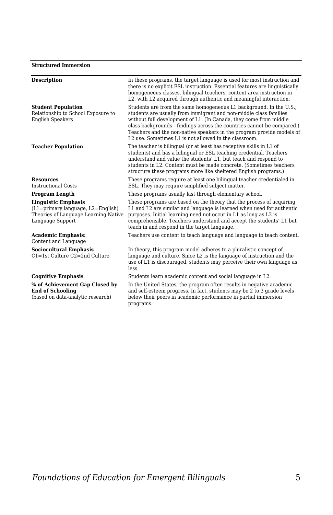#### **Structured Immersion**

| In these programs, the target language is used for most instruction and<br>there is no explicit ESL instruction. Essential features are linguistically<br>homogeneous classes, bilingual teachers, content area instruction in                                                                                                                                                                                         |
|------------------------------------------------------------------------------------------------------------------------------------------------------------------------------------------------------------------------------------------------------------------------------------------------------------------------------------------------------------------------------------------------------------------------|
| L2, with L2 acquired through authentic and meaningful interaction.                                                                                                                                                                                                                                                                                                                                                     |
| Students are from the same homogeneous L1 background. In the U.S.,<br>students are usually from immigrant and non-middle class families<br>without full development of L1. (In Canada, they come from middle<br>class backgrounds—findings across the countries cannot be compared.)<br>Teachers and the non-native speakers in the program provide models of<br>L2 use. Sometimes L1 is not allowed in the classroom. |
| The teacher is bilingual (or at least has receptive skills in L1 of<br>students) and has a bilingual or ESL teaching credential. Teachers<br>understand and value the students' L1, but teach and respond to<br>students in L2. Content must be made concrete. (Sometimes teachers<br>structure these programs more like sheltered English programs.)                                                                  |
| These programs require at least one bilingual teacher credentialed in<br>ESL. They may require simplified subject matter.                                                                                                                                                                                                                                                                                              |
| These programs usually last through elementary school.                                                                                                                                                                                                                                                                                                                                                                 |
| These programs are based on the theory that the process of acquiring<br>L1 and L2 are similar and language is learned when used for authentic<br>purposes. Initial learning need not occur in L1 as long as L2 is<br>comprehensible. Teachers understand and accept the students' L1 but<br>teach in and respond in the target language.                                                                               |
| Teachers use content to teach language and language to teach content.                                                                                                                                                                                                                                                                                                                                                  |
| In theory, this program model adheres to a pluralistic concept of<br>language and culture. Since L2 is the language of instruction and the<br>use of L1 is discouraged, students may perceive their own language as                                                                                                                                                                                                    |
| Students learn academic content and social language in L2.                                                                                                                                                                                                                                                                                                                                                             |
| In the United States, the program often results in negative academic<br>and self-esteem progress. In fact, students may be 2 to 3 grade levels<br>below their peers in academic performance in partial immersion                                                                                                                                                                                                       |
| programs.                                                                                                                                                                                                                                                                                                                                                                                                              |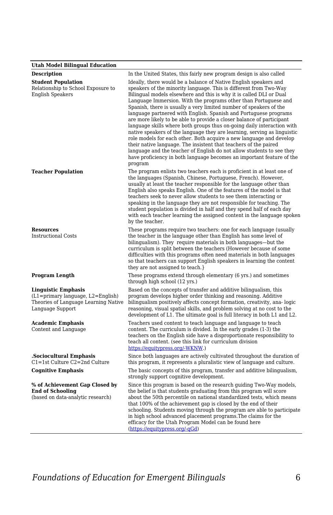#### **Utah Model Bilingual Education**

| e am nouer Bunguar Luaeacon                                                                                                          |                                                                                                                                                                                                                                                                                                                                                                                                                                                                                                                                                                                                                                                                                                                                                                                                                                                                                                                                                                  |
|--------------------------------------------------------------------------------------------------------------------------------------|------------------------------------------------------------------------------------------------------------------------------------------------------------------------------------------------------------------------------------------------------------------------------------------------------------------------------------------------------------------------------------------------------------------------------------------------------------------------------------------------------------------------------------------------------------------------------------------------------------------------------------------------------------------------------------------------------------------------------------------------------------------------------------------------------------------------------------------------------------------------------------------------------------------------------------------------------------------|
| <b>Description</b>                                                                                                                   | In the United States, this fairly new program design is also called                                                                                                                                                                                                                                                                                                                                                                                                                                                                                                                                                                                                                                                                                                                                                                                                                                                                                              |
| <b>Student Population</b><br>Relationship to School Exposure to<br><b>English Speakers</b>                                           | Ideally, there would be a balance of Native English speakers and<br>speakers of the minority language. This is different from Two-Way<br>Bilingual models elsewhere and this is why it is called DLI or Dual<br>Language Immersion. With the programs other than Portuguese and<br>Spanish, there is usually a very limited number of speakers of the<br>language partnered with English. Spanish and Portuguese programs<br>are more likely to be able to provide a closer balance of participant<br>language skills where both groups thus on-going daily interaction with<br>native speakers of the language they are learning, serving as linguistic<br>role models for each other. Both acquire a new language and develop<br>their native language. The insistent that teachers of the paired<br>language and the teacher of English do not allow students to see they<br>have proficiency in both language becomes an important feature of the<br>program |
| <b>Teacher Population</b>                                                                                                            | The program enlists two teachers each is proficient in at least one of<br>the languages (Spanish, Chinese, Portuguese, French). However,<br>usually at least the teacher responsible for the language other than<br>English also speaks English. One of the features of the model is that<br>teachers seek to never allow students to see them interacting or<br>speaking in the language they are not responsible for teaching. The<br>student population is divided in half and they spend half of each day<br>with each teacher learning the assigned content in the language spoken<br>by the teacher.                                                                                                                                                                                                                                                                                                                                                       |
| <b>Resources</b><br><b>Instructional Costs</b>                                                                                       | These programs require two teachers: one for each language (usually<br>the teacher in the language other than English has some level of<br>bilingualism). They require materials in both languages—but the<br>curriculum is split between the teachers (However because of some<br>difficulties with this programs often need materials in both languages<br>so that teachers can support English speakers in learning the content<br>they are not assigned to teach.}                                                                                                                                                                                                                                                                                                                                                                                                                                                                                           |
| Program Length                                                                                                                       | These programs extend through elementary (6 yrs.) and sometimes<br>through high school (12 yrs.)                                                                                                                                                                                                                                                                                                                                                                                                                                                                                                                                                                                                                                                                                                                                                                                                                                                                 |
| <b>Linguistic Emphasis</b><br>$(L1 = primary \t language, L2 = English)$<br>Theories of Language Learning Native<br>Language Support | Based on the concepts of transfer and additive bilingualism, this<br>program develops higher order thinking and reasoning. Additive<br>bilingualism positively affects concept formation, creativity, ana-logic<br>reasoning, visual spatial skills, and problem solving at no cost to the<br>development of L1. The ultimate goal is full literacy in both L1 and L2.                                                                                                                                                                                                                                                                                                                                                                                                                                                                                                                                                                                           |
| <b>Academic Emphasis</b><br>Content and Language                                                                                     | Teachers used content to teach language and language to teach<br>content. The curriculum is divided. In the early grades (1-3) the<br>teachers on the English side have a disproportionate responsibility to<br>teach all content. (see this link for curriculum division<br>https://equitypress.org/-WKNW.)                                                                                                                                                                                                                                                                                                                                                                                                                                                                                                                                                                                                                                                     |
| .Sociocultural Emphasis<br>C1=1st Culture C2=2nd Culture                                                                             | Since both languages are actively cultivated throughout the duration of<br>this program, it represents a pluralistic view of language and culture.                                                                                                                                                                                                                                                                                                                                                                                                                                                                                                                                                                                                                                                                                                                                                                                                               |
| <b>Cognitive Emphasis</b>                                                                                                            | The basic concepts of this program, transfer and additive bilingualism,<br>strongly support cognitive development.                                                                                                                                                                                                                                                                                                                                                                                                                                                                                                                                                                                                                                                                                                                                                                                                                                               |
| % of Achievement Gap Closed by<br><b>End of Schooling</b><br>(based on data-analytic research)                                       | Since this program is based on the research guiding Two-Way models,<br>the belief is that students graduating from this program will score<br>about the 50th percentile on national standardized tests, which means<br>that 100% of the achievement gap is closed by the end of their<br>schooling. Students moving through the program are able to participate<br>in high school advanced placement programs. The claims for the<br>efficacy for the Utah Program Model can be found here<br>(https://equitypress.org/-qGd)                                                                                                                                                                                                                                                                                                                                                                                                                                     |

*Foundations of Education for Emergent Bilinguals* 6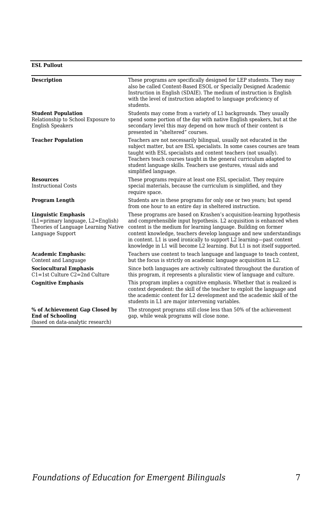#### **ESL Pullout**

| <b>Description</b>                                                                                                                | These programs are specifically designed for LEP students. They may<br>also be called Content-Based ESOL or Specially Designed Academic<br>Instruction in English (SDAIE). The medium of instruction is English<br>with the level of instruction adapted to language proficiency of<br>students.                                                                                                                                             |
|-----------------------------------------------------------------------------------------------------------------------------------|----------------------------------------------------------------------------------------------------------------------------------------------------------------------------------------------------------------------------------------------------------------------------------------------------------------------------------------------------------------------------------------------------------------------------------------------|
| <b>Student Population</b><br>Relationship to School Exposure to<br><b>English Speakers</b>                                        | Students may come from a variety of L1 backgrounds. They usually<br>spend some portion of the day with native English speakers, but at the<br>secondary level this may depend on how much of their content is<br>presented in "sheltered" courses.                                                                                                                                                                                           |
| <b>Teacher Population</b>                                                                                                         | Teachers are not necessarily bilingual, usually not educated in the<br>subject matter, but are ESL specialists. In some cases courses are team<br>taught with ESL specialists and content teachers (not usually).<br>Teachers teach courses taught in the general curriculum adapted to<br>student language skills. Teachers use gestures, visual aids and<br>simplified language.                                                           |
| <b>Resources</b><br><b>Instructional Costs</b>                                                                                    | These programs require at least one ESL specialist. They require<br>special materials, because the curriculum is simplified, and they<br>require space.                                                                                                                                                                                                                                                                                      |
| <b>Program Length</b>                                                                                                             | Students are in these programs for only one or two years; but spend<br>from one hour to an entire day in sheltered instruction.                                                                                                                                                                                                                                                                                                              |
| <b>Linguistic Emphasis</b><br>$(L1 = primary language, L2 = English)$<br>Theories of Language Learning Native<br>Language Support | These programs are based on Krashen's acquisition-learning hypothesis<br>and comprehensible input hypothesis. L2 acquisition is enhanced when<br>content is the medium for learning language. Building on former<br>content knowledge, teachers develop language and new understandings<br>in content. L1 is used ironically to support L2 learning—past content<br>knowledge in L1 will become L2 learning. But L1 is not itself supported. |
| <b>Academic Emphasis:</b><br>Content and Language                                                                                 | Teachers use content to teach language and language to teach content,<br>but the focus is strictly on academic language acquisition in L2.                                                                                                                                                                                                                                                                                                   |
| <b>Sociocultural Emphasis</b><br>$C1 = 1$ st Culture $C2 = 2$ nd Culture                                                          | Since both languages are actively cultivated throughout the duration of<br>this program, it represents a pluralistic view of language and culture.                                                                                                                                                                                                                                                                                           |
| <b>Cognitive Emphasis</b>                                                                                                         | This program implies a cognitive emphasis. Whether that is realized is<br>context dependent: the skill of the teacher to exploit the language and<br>the academic content for L2 development and the academic skill of the<br>students in L1 are major intervening variables.                                                                                                                                                                |
| % of Achievement Gap Closed by<br><b>End of Schooling</b><br>(based on data-analytic research)                                    | The strongest programs still close less than 50% of the achievement<br>gap, while weak programs will close none.                                                                                                                                                                                                                                                                                                                             |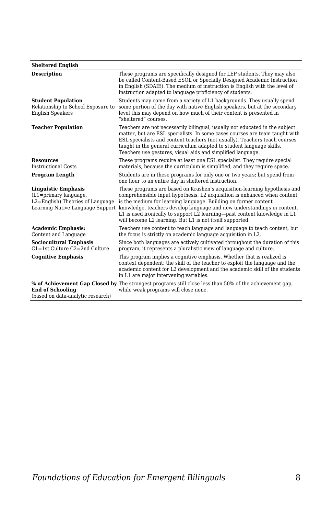| <b>Sheltered English</b>                                                                    |                                                                                                                                                                                                                                                                                                                                                                                                                                                                               |
|---------------------------------------------------------------------------------------------|-------------------------------------------------------------------------------------------------------------------------------------------------------------------------------------------------------------------------------------------------------------------------------------------------------------------------------------------------------------------------------------------------------------------------------------------------------------------------------|
| <b>Description</b>                                                                          | These programs are specifically designed for LEP students. They may also<br>be called Content-Based ESOL or Specially Designed Academic Instruction<br>in English (SDAIE). The medium of instruction is English with the level of<br>instruction adapted to language proficiency of students.                                                                                                                                                                                 |
| <b>Student Population</b><br>Relationship to School Exposure to<br><b>English Speakers</b>  | Students may come from a variety of L1 backgrounds. They usually spend<br>some portion of the day with native English speakers, but at the secondary<br>level this may depend on how much of their content is presented in<br>"sheltered" courses.                                                                                                                                                                                                                            |
| <b>Teacher Population</b>                                                                   | Teachers are not necessarily bilingual, usually not educated in the subject<br>matter, but are ESL specialists. In some cases courses are team taught with<br>ESL specialists and content teachers (not usually). Teachers teach courses<br>taught in the general curriculum adapted to student language skills.<br>Teachers use gestures, visual aids and simplified language.                                                                                               |
| <b>Resources</b><br><b>Instructional Costs</b>                                              | These programs require at least one ESL specialist. They require special<br>materials, because the curriculum is simplified, and they require space.                                                                                                                                                                                                                                                                                                                          |
| Program Length                                                                              | Students are in these programs for only one or two years; but spend from<br>one hour to an entire day in sheltered instruction.                                                                                                                                                                                                                                                                                                                                               |
| <b>Linguistic Emphasis</b><br>$(L1 = primary language,$<br>L2=English) Theories of Language | These programs are based on Krashen's acquisition-learning hypothesis and<br>comprehensible input hypothesis. L2 acquisition is enhanced when content<br>is the medium for learning language. Building on former content<br>Learning Native Language Support knowledge, teachers develop language and new understandings in content.<br>L1 is used ironically to support L2 learning—past content knowledge in L1<br>will become L2 learning. But L1 is not itself supported. |
| <b>Academic Emphasis:</b><br>Content and Language                                           | Teachers use content to teach language and language to teach content, but<br>the focus is strictly on academic language acquisition in L2.                                                                                                                                                                                                                                                                                                                                    |
| <b>Sociocultural Emphasis</b><br>$C1 = 1$ st Culture $C2 = 2$ nd Culture                    | Since both languages are actively cultivated throughout the duration of this<br>program, it represents a pluralistic view of language and culture.                                                                                                                                                                                                                                                                                                                            |
| <b>Cognitive Emphasis</b>                                                                   | This program implies a cognitive emphasis. Whether that is realized is<br>context dependent: the skill of the teacher to exploit the language and the<br>academic content for L2 development and the academic skill of the students<br>in L1 are major intervening variables.                                                                                                                                                                                                 |
| <b>End of Schooling</b><br>(based on data-analytic research)                                | % of Achievement Gap Closed by The strongest programs still close less than 50% of the achievement gap,<br>while weak programs will close none.                                                                                                                                                                                                                                                                                                                               |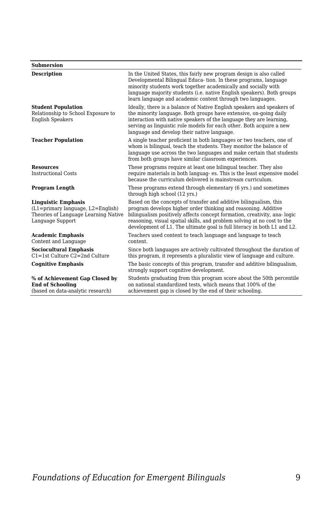#### **Submersion Description** In the United States, this fairly new program design is also called Developmental Bilingual Educa- tion. In these programs, language minority students work together academically and socially with language majority students (i.e. native English speakers). Both groups learn language and academic content through two languages. **Student Population** Relationship to School Exposure to English Speakers Ideally, there is a balance of Native English speakers and speakers of the minority language. Both groups have extensive, on-going daily interaction with native speakers of the language they are learning, serving as linguistic role models for each other. Both acquire a new language and develop their native language. **Teacher Population** A single teacher proficient in both languages or two teachers, one of whom is bilingual, teach the students. They monitor the balance of language use across the two languages and make certain that students from both groups have similar classroom experiences. **Resources** Instructional Costs These programs require at least one bilingual teacher. They also require materials in both languag- es. This is the least expensive model because the curriculum delivered is mainstream curriculum. **Program Length** These programs extend through elementary (6 yrs.) and sometimes through high school (12 yrs.) **Linguistic Emphasis** (L1=primary language, L2=English) Theories of Language Learning Native Language Support Based on the concepts of transfer and additive bilingualism, this program develops higher order thinking and reasoning. Additive bilingualism positively affects concept formation, creativity, ana- logic reasoning, visual spatial skills, and problem solving at no cost to the development of L1. The ultimate goal is full literacy in both L1 and L2. **Academic Emphasis** Content and Language Teachers used content to teach language and language to teach content. **Sociocultural Emphasis** C1=1st Culture C2=2nd Culture Since both languages are actively cultivated throughout the duration of this program, it represents a pluralistic view of language and culture. **Cognitive Emphasis** The basic concepts of this program, transfer and additive bilingualism, strongly support cognitive development. **% of Achievement Gap Closed by End of Schooling** (based on data-analytic research) Students graduating from this program score about the 50th percentile on national standardized tests, which means that 100% of the achievement gap is closed by the end of their schooling.